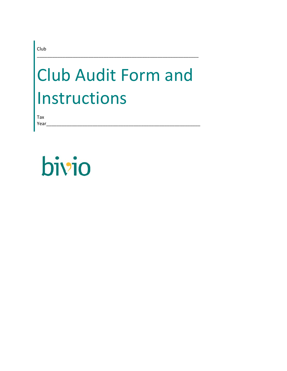Club

# Club Audit Form and Instructions

Tax Year

bivio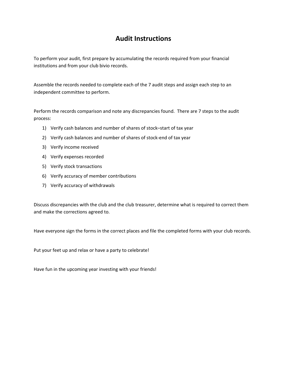## **Audit Instructions**

To perform your audit, first prepare by accumulating the records required from your financial institutions and from your club bivio records.

Assemble the records needed to complete each of the 7 audit steps and assign each step to an independent committee to perform.

Perform the records comparison and note any discrepancies found. There are 7 steps to the audit process:

- 1) Verify cash balances and number of shares of stock–start of tax year
- 2) Verify cash balances and number of shares of stock-end of tax year
- 3) Verify income received
- 4) Verify expenses recorded
- 5) Verify stock transactions
- 6) Verify accuracy of member contributions
- 7) Verify accuracy of withdrawals

Discuss discrepancies with the club and the club treasurer, determine what is required to correct them and make the corrections agreed to.

Have everyone sign the forms in the correct places and file the completed forms with your club records.

Put your feet up and relax or have a party to celebrate!

Have fun in the upcoming year investing with your friends!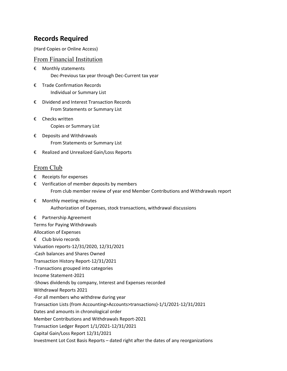## **Records Required**

(Hard Copies or Online Access)

#### From Financial Institution

- € Monthly statements Dec‐Previous tax year through Dec‐Current tax year
- € Trade Confirmation Records Individual or Summary List
- € Dividend and Interest Transaction Records From Statements or Summary List
- € Checks written Copies or Summary List
- $E$  Deposits and Withdrawals From Statements or Summary List
- € Realized and Unrealized Gain/Loss Reports

#### From Club

- $E$  Receipts for expenses
- € Verification of member deposits by members From club member review of year end Member Contributions and Withdrawals report
- € Monthly meeting minutes Authorization of Expenses, stock transactions, withdrawal discussions
- € Partnership Agreement

Terms for Paying Withdrawals

- Allocation of Expenses
- € Club bivio records
- Valuation reports‐12/31/2020, 12/31/2021
- ‐Cash balances and Shares Owned
- Transaction History Report‐12/31/2021
- ‐Transactions grouped into categories
- Income Statement‐2021
- ‐Shows dividends by company, Interest and Expenses recorded
- Withdrawal Reports 2021
- ‐For all members who withdrew during year
- Transaction Lists (from Accounting>Accounts>transactions)‐1/1/2021‐12/31/2021
- Dates and amounts in chronological order
- Member Contributions and Withdrawals Report‐2021
- Transaction Ledger Report 1/1/2021‐12/31/2021
- Capital Gain/Loss Report 12/31/2021
- Investment Lot Cost Basis Reports dated right after the dates of any reorganizations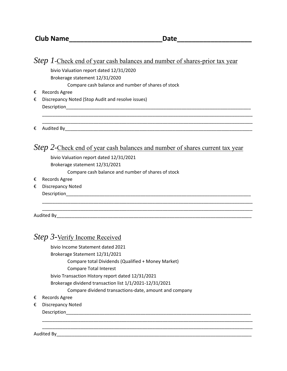|   | <i>Step 1</i> -Check end of year cash balances and number of shares-prior tax year                                    |
|---|-----------------------------------------------------------------------------------------------------------------------|
|   | bivio Valuation report dated 12/31/2020                                                                               |
|   | Brokerage statement 12/31/2020                                                                                        |
|   | Compare cash balance and number of shares of stock                                                                    |
| € | Records Agree                                                                                                         |
| € | Discrepancy Noted (Stop Audit and resolve issues)                                                                     |
|   |                                                                                                                       |
| € |                                                                                                                       |
|   |                                                                                                                       |
|   | Step 2-Check end of year cash balances and number of shares current tax year                                          |
|   | bivio Valuation report dated 12/31/2021                                                                               |
|   | Brokerage statement 12/31/2021                                                                                        |
|   | Compare cash balance and number of shares of stock                                                                    |
| € | Records Agree                                                                                                         |
| € | <b>Discrepancy Noted</b>                                                                                              |
|   |                                                                                                                       |
|   |                                                                                                                       |
|   | <u> 1999 - Johann Harry Harry Harry Harry Harry Harry Harry Harry Harry Harry Harry Harry Harry Harry Harry Harry</u> |
|   |                                                                                                                       |
|   | <i>Step 3-Verify Income Received</i>                                                                                  |
|   | bivio Income Statement dated 2021                                                                                     |
|   | Brokerage Statement 12/31/2021                                                                                        |
|   | Compare total Dividends (Qualified + Money Market)                                                                    |
|   | <b>Compare Total Interest</b>                                                                                         |
|   | bivio Transaction History report dated 12/31/2021                                                                     |
|   | Brokerage dividend transaction list 1/1/2021-12/31/2021                                                               |
|   | Compare dividend transactions-date, amount and company                                                                |
| € | Records Agree                                                                                                         |
| € | Discrepancy Noted                                                                                                     |
|   | Description                                                                                                           |

\_\_\_\_\_\_\_\_\_\_\_\_\_\_\_\_\_\_\_\_\_\_\_\_\_\_\_\_\_\_\_\_\_\_\_\_\_\_\_\_\_\_\_\_\_\_\_\_\_\_\_\_\_\_\_\_\_\_\_\_\_\_\_\_\_\_\_\_\_\_\_\_\_\_\_\_\_\_\_\_\_\_

\_\_\_\_\_\_\_\_\_\_\_\_\_\_\_\_\_\_\_\_\_\_\_\_\_\_\_\_\_\_\_\_\_\_\_\_\_\_\_\_\_\_\_\_\_\_\_\_\_\_\_\_\_\_\_\_\_\_\_\_\_\_\_\_\_\_\_\_\_\_\_\_\_\_\_\_\_\_\_\_\_\_

Audited By\_\_\_\_\_\_\_\_\_\_\_\_\_\_\_\_\_\_\_\_\_\_\_\_\_\_\_\_\_\_\_\_\_\_\_\_\_\_\_\_\_\_\_\_\_\_\_\_\_\_\_\_\_\_\_\_\_\_\_\_\_\_\_\_\_\_\_\_\_\_\_\_\_\_\_\_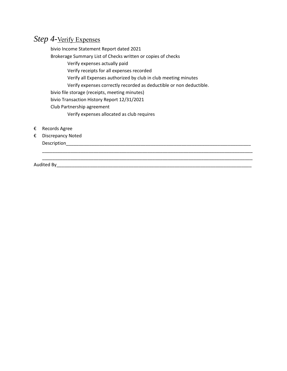## *Step 4-*Verify Expenses

 bivio Income Statement Report dated 2021 Brokerage Summary List of Checks written or copies of checks Verify expenses actually paid Verify receipts for all expenses recorded Verify all Expenses authorized by club in club meeting minutes Verify expenses correctly recorded as deductible or non deductible. bivio file storage (receipts, meeting minutes) bivio Transaction History Report 12/31/2021 Club Partnership agreement

\_\_\_\_\_\_\_\_\_\_\_\_\_\_\_\_\_\_\_\_\_\_\_\_\_\_\_\_\_\_\_\_\_\_\_\_\_\_\_\_\_\_\_\_\_\_\_\_\_\_\_\_\_\_\_\_\_\_\_\_\_\_\_\_\_\_\_\_\_\_\_\_\_\_\_\_\_\_\_\_\_\_

Verify expenses allocated as club requires

- € Records Agree
- € Discrepancy Noted Description\_\_\_\_\_\_\_\_\_\_\_\_\_\_\_\_\_\_\_\_\_\_\_\_\_\_\_\_\_\_\_\_\_\_\_\_\_\_\_\_\_\_\_\_\_\_\_\_\_\_\_\_\_\_\_\_\_\_\_\_\_\_\_\_\_\_\_\_\_\_\_\_

\_\_\_\_\_\_\_\_\_\_\_\_\_\_\_\_\_\_\_\_\_\_\_\_\_\_\_\_\_\_\_\_\_\_\_\_\_\_\_\_\_\_\_\_\_\_\_\_\_\_\_\_\_\_\_\_\_\_\_\_\_\_\_\_\_\_\_\_\_\_\_\_\_\_\_\_\_\_\_\_\_\_

Audited By\_\_\_\_\_\_\_\_\_\_\_\_\_\_\_\_\_\_\_\_\_\_\_\_\_\_\_\_\_\_\_\_\_\_\_\_\_\_\_\_\_\_\_\_\_\_\_\_\_\_\_\_\_\_\_\_\_\_\_\_\_\_\_\_\_\_\_\_\_\_\_\_\_\_\_\_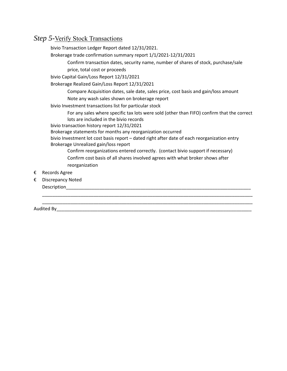## *Step 5-*Verify Stock Transactions

|   | bivio Transaction Ledger Report dated 12/31/2021.                                                                                     |
|---|---------------------------------------------------------------------------------------------------------------------------------------|
|   | Brokerage trade confirmation summary report 1/1/2021-12/31/2021                                                                       |
|   | Confirm transaction dates, security name, number of shares of stock, purchase/sale                                                    |
|   | price, total cost or proceeds                                                                                                         |
|   | bivio Capital Gain/Loss Report 12/31/2021                                                                                             |
|   | Brokerage Realized Gain/Loss Report 12/31/2021                                                                                        |
|   | Compare Acquisition dates, sale date, sales price, cost basis and gain/loss amount                                                    |
|   | Note any wash sales shown on brokerage report                                                                                         |
|   | bivio Investment transactions list for particular stock                                                                               |
|   | For any sales where specific tax lots were sold (other than FIFO) confirm that the correct<br>lots are included in the bivio records  |
|   | bivio transaction history report 12/31/2021                                                                                           |
|   | Brokerage statements for months any reorganization occurred                                                                           |
|   | bivio Investment lot cost basis report - dated right after date of each reorganization entry<br>Brokerage Unrealized gain/loss report |
|   | Confirm reorganizations entered correctly. (contact bivio support if necessary)                                                       |
|   | Confirm cost basis of all shares involved agrees with what broker shows after                                                         |
|   | reorganization                                                                                                                        |
| € | Records Agree                                                                                                                         |
| € | <b>Discrepancy Noted</b>                                                                                                              |
|   | Description                                                                                                                           |
|   |                                                                                                                                       |
|   |                                                                                                                                       |
|   | Audited By Processing Contract and Contract of the Contract of the Contract of the Contract of the Contract of                        |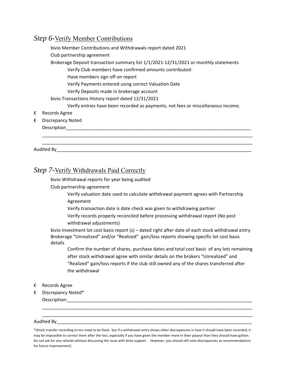### *Step 6-*Verify Member Contributions

 bivio Member Contributions and Withdrawals report dated 2021 Club partnership agreement Brokerage Deposit transaction summary list 1/1/2021‐12/31/2021 or monthly statements Verify Club members have confirmed amounts contributed‐ Have members sign off on report Verify Payments entered using correct Valuation Date Verify Deposits made in brokerage account bivio Transactions History report dated 12/31/2021 Verify entries have been recorded as payments, not fees or miscellaneous income. € Records Agree € Discrepancy Noted Description\_\_\_\_\_\_\_\_\_\_\_\_\_\_\_\_\_\_\_\_\_\_\_\_\_\_\_\_\_\_\_\_\_\_\_\_\_\_\_\_\_\_\_\_\_\_\_\_\_\_\_\_\_\_\_\_\_\_\_\_\_\_\_\_\_\_\_\_\_\_\_\_ \_\_\_\_\_\_\_\_\_\_\_\_\_\_\_\_\_\_\_\_\_\_\_\_\_\_\_\_\_\_\_\_\_\_\_\_\_\_\_\_\_\_\_\_\_\_\_\_\_\_\_\_\_\_\_\_\_\_\_\_\_\_\_\_\_\_\_\_\_\_\_\_\_\_\_\_\_\_\_\_\_\_ \_\_\_\_\_\_\_\_\_\_\_\_\_\_\_\_\_\_\_\_\_\_\_\_\_\_\_\_\_\_\_\_\_\_\_\_\_\_\_\_\_\_\_\_\_\_\_\_\_\_\_\_\_\_\_\_\_\_\_\_\_\_\_\_\_\_\_\_\_\_\_\_\_\_\_\_\_\_\_\_\_\_

Audited By

#### *Step 7-*Verify Withdrawals Paid Correctly

bivio Withdrawal reports for year being audited

Club partnership agreement

 Verify valuation date used to calculate withdrawal payment agrees with Partnership Agreement

Verify transaction date is date check was given to withdrawing partner

 Verify records properly reconciled before processing withdrawal report (No post withdrawal adjustments)

bivio Investment lot cost basis report (s) – dated right after date of each stock withdrawal entry Brokerage "Unrealized" and/or "Realized" gain/loss reports showing specific lot cost basis details

Confirm the number of shares, purchase dates and total cost basis of any lots remaining after stock withdrawal agree with similar details on the brokers "Unrealized" and "Realized" gain/loss reports if the club still owned any of the shares transferred after the withdrawal

- € Records Agree
- € Discrepancy Noted\*

Description:

#### Audited By

\*(Stock transfer recording errors need to be fixed, but if a withdrawal entry shows other discrepancies in how it should have been recorded, it may be impossible to correct them after the fact, especially if you have given the member more in their payout than they should have gotten. Do not ask for any refunds without discussing the issue with bivio support. However, you should still note discrepancies as recommendations for future improvement)

\_\_\_\_\_\_\_\_\_\_\_\_\_\_\_\_\_\_\_\_\_\_\_\_\_\_\_\_\_\_\_\_\_\_\_\_\_\_\_\_\_\_\_\_\_\_\_\_\_\_\_\_\_\_\_\_\_\_\_\_\_\_\_\_\_\_\_\_\_\_\_\_\_\_\_\_\_\_\_\_\_\_ \_\_\_\_\_\_\_\_\_\_\_\_\_\_\_\_\_\_\_\_\_\_\_\_\_\_\_\_\_\_\_\_\_\_\_\_\_\_\_\_\_\_\_\_\_\_\_\_\_\_\_\_\_\_\_\_\_\_\_\_\_\_\_\_\_\_\_\_\_\_\_\_\_\_\_\_\_\_\_\_\_\_